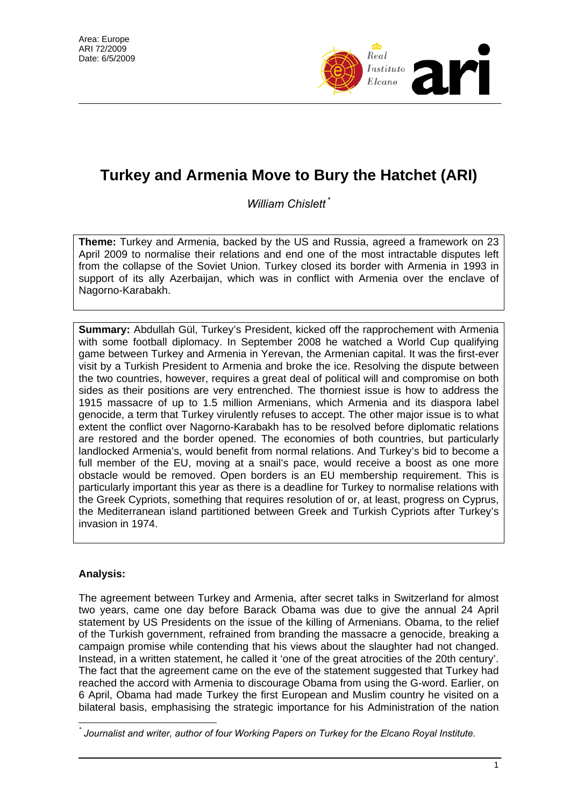

# **Turkey and Armenia Move to Bury the Hatchet (ARI)**

*William Chislett* [\\*](#page-0-0)

**Theme:** Turkey and Armenia, backed by the US and Russia, agreed a framework on 23 April 2009 to normalise their relations and end one of the most intractable disputes left from the collapse of the Soviet Union. Turkey closed its border with Armenia in 1993 in support of its ally Azerbaijan, which was in conflict with Armenia over the enclave of Nagorno-Karabakh.

**Summary:** Abdullah Gül, Turkey's President, kicked off the rapprochement with Armenia with some football diplomacy. In September 2008 he watched a World Cup qualifying game between Turkey and Armenia in Yerevan, the Armenian capital. It was the first-ever visit by a Turkish President to Armenia and broke the ice. Resolving the dispute between the two countries, however, requires a great deal of political will and compromise on both sides as their positions are very entrenched. The thorniest issue is how to address the 1915 massacre of up to 1.5 million Armenians, which Armenia and its diaspora label genocide, a term that Turkey virulently refuses to accept. The other major issue is to what extent the conflict over Nagorno-Karabakh has to be resolved before diplomatic relations are restored and the border opened. The economies of both countries, but particularly landlocked Armenia's, would benefit from normal relations. And Turkey's bid to become a full member of the EU, moving at a snail's pace, would receive a boost as one more obstacle would be removed. Open borders is an EU membership requirement. This is particularly important this year as there is a deadline for Turkey to normalise relations with the Greek Cypriots, something that requires resolution of or, at least, progress on Cyprus, the Mediterranean island partitioned between Greek and Turkish Cypriots after Turkey's invasion in 1974.

# **Analysis:**

The agreement between Turkey and Armenia, after secret talks in Switzerland for almost two years, came one day before Barack Obama was due to give the annual 24 April statement by US Presidents on the issue of the killing of Armenians. Obama, to the relief of the Turkish government, refrained from branding the massacre a genocide, breaking a campaign promise while contending that his views about the slaughter had not changed. Instead, in a written statement, he called it 'one of the great atrocities of the 20th century'. The fact that the agreement came on the eve of the statement suggested that Turkey had reached the accord with Armenia to discourage Obama from using the G-word. Earlier, on 6 April, Obama had made Turkey the first European and Muslim country he visited on a bilateral basis, emphasising the strategic importance for his Administration of the nation

<span id="page-0-0"></span> $\overline{a}$ *\* Journalist and writer, author of four Working Papers on Turkey for the Elcano Royal Institute.*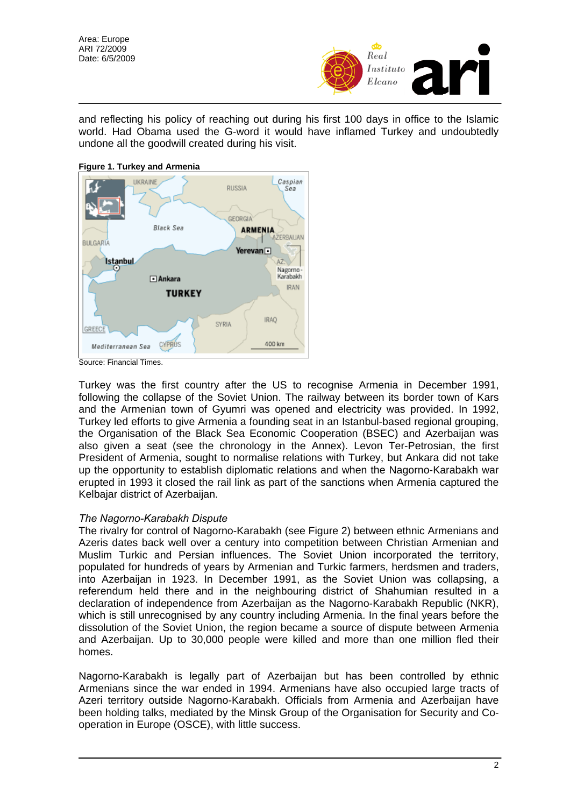Area: Europe ARI 72/2009 Date: 6/5/2009



and reflecting his policy of reaching out during his first 100 days in office to the Islamic world. Had Obama used the G-word it would have inflamed Turkey and undoubtedly undone all the goodwill created during his visit.



Source: Financial Times.

Turkey was the first country after the US to recognise Armenia in December 1991, following the collapse of the Soviet Union. The railway between its border town of Kars and the Armenian town of Gyumri was opened and electricity was provided. In 1992, Turkey led efforts to give Armenia a founding seat in an Istanbul-based regional grouping, the Organisation of the Black Sea Economic Cooperation (BSEC) and Azerbaijan was also given a seat (see the chronology in the Annex). Levon Ter-Petrosian, the first President of Armenia, sought to normalise relations with Turkey, but Ankara did not take up the opportunity to establish diplomatic relations and when the Nagorno-Karabakh war erupted in 1993 it closed the rail link as part of the sanctions when Armenia captured the Kelbajar district of Azerbaijan.

#### *The Nagorno-Karabakh Dispute*

The rivalry for control of Nagorno-Karabakh (see Figure 2) between ethnic Armenians and Azeris dates back well over a century into competition between Christian Armenian and Muslim Turkic and Persian influences. The Soviet Union incorporated the territory, populated for hundreds of years by Armenian and Turkic farmers, herdsmen and traders, into Azerbaijan in 1923. In December 1991, as the Soviet Union was collapsing, a referendum held there and in the neighbouring district of Shahumian resulted in a declaration of independence from Azerbaijan as the Nagorno-Karabakh Republic (NKR), which is still unrecognised by any country including Armenia. In the final years before the dissolution of the Soviet Union, the region became a source of dispute between Armenia and Azerbaijan. Up to 30,000 people were killed and more than one million fled their homes.

Nagorno-Karabakh is legally part of Azerbaijan but has been controlled by ethnic Armenians since the war ended in 1994. Armenians have also occupied large tracts of Azeri territory outside Nagorno-Karabakh. Officials from Armenia and Azerbaijan have been holding talks, mediated by the Minsk Group of the Organisation for Security and Cooperation in Europe (OSCE), with little success.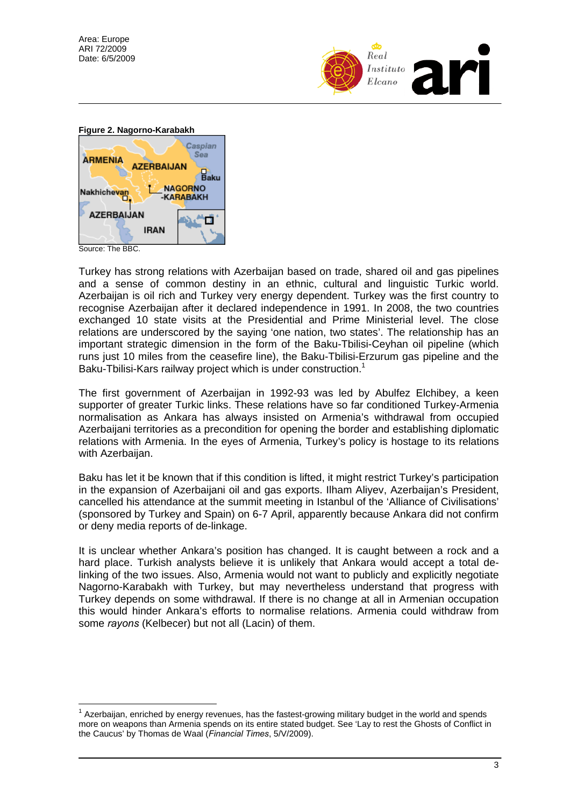Area: Europe ARI 72/2009 Date: 6/5/2009





 $\overline{a}$ 

Turkey has strong relations with Azerbaijan based on trade, shared oil and gas pipelines and a sense of common destiny in an ethnic, cultural and linguistic Turkic world. Azerbaijan is oil rich and Turkey very energy dependent. Turkey was the first country to recognise Azerbaijan after it declared independence in 1991. In 2008, the two countries exchanged 10 state visits at the Presidential and Prime Ministerial level. The close relations are underscored by the saying 'one nation, two states'. The relationship has an important strategic dimension in the form of the Baku-Tbilisi-Ceyhan oil pipeline (which runs just 10 miles from the ceasefire line), the Baku-Tbilisi-Erzurum gas pipeline and the Baku-Tbilisi-Kars railway project which is under construction.<sup>[1](#page-2-0)</sup>

The first government of Azerbaijan in 1992-93 was led by Abulfez Elchibey, a keen supporter of greater Turkic links. These relations have so far conditioned Turkey-Armenia normalisation as Ankara has always insisted on Armenia's withdrawal from occupied Azerbaijani territories as a precondition for opening the border and establishing diplomatic relations with Armenia. In the eyes of Armenia, Turkey's policy is hostage to its relations with Azerbaijan.

Baku has let it be known that if this condition is lifted, it might restrict Turkey's participation in the expansion of Azerbaijani oil and gas exports. Ilham Aliyev, Azerbaijan's President, cancelled his attendance at the summit meeting in Istanbul of the 'Alliance of Civilisations' (sponsored by Turkey and Spain) on 6-7 April, apparently because Ankara did not confirm or deny media reports of de-linkage.

It is unclear whether Ankara's position has changed. It is caught between a rock and a hard place. Turkish analysts believe it is unlikely that Ankara would accept a total delinking of the two issues. Also, Armenia would not want to publicly and explicitly negotiate Nagorno-Karabakh with Turkey, but may nevertheless understand that progress with Turkey depends on some withdrawal. If there is no change at all in Armenian occupation this would hinder Ankara's efforts to normalise relations. Armenia could withdraw from some *rayons* (Kelbecer) but not all (Lacin) of them.

<span id="page-2-0"></span> $1$  Azerbaijan, enriched by energy revenues, has the fastest-growing military budget in the world and spends more on weapons than Armenia spends on its entire stated budget. See 'Lay to rest the Ghosts of Conflict in the Caucus' by Thomas de Waal (*Financial Times*, 5/V/2009).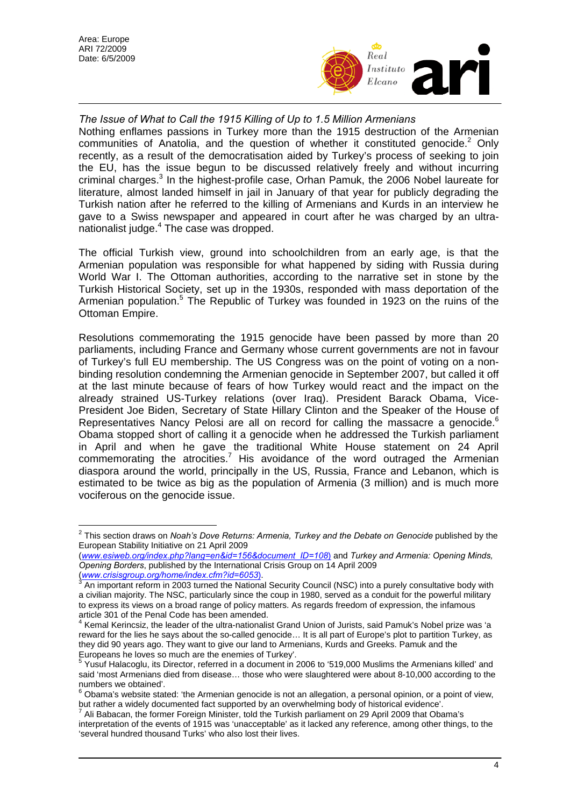

*The Issue of What to Call the 1915 Killing of Up to 1.5 Million Armenians*  Nothing enflames passions in Turkey more than the 1915 destruction of the Armenian communities of Anatolia, and the question of whether it constituted genocide. $2$  Only recently, as a result of the democratisation aided by Turkey's process of seeking to join the EU, has the issue begun to be discussed relatively freely and without incurring criminal charges.<sup>[3](#page-3-1)</sup> In the highest-profile case, Orhan Pamuk, the 2006 Nobel laureate for literature, almost landed himself in jail in January of that year for publicly degrading the Turkish nation after he referred to the killing of Armenians and Kurds in an interview he gave to a Swiss newspaper and appeared in court after he was charged by an ultra-nationalist judge.<sup>[4](#page-3-2)</sup> The case was dropped.

The official Turkish view, ground into schoolchildren from an early age, is that the Armenian population was responsible for what happened by siding with Russia during World War I. The Ottoman authorities, according to the narrative set in stone by the Turkish Historical Society, set up in the 1930s, responded with mass deportation of the Armenian population.<sup>[5](#page-3-3)</sup> The Republic of Turkey was founded in 1923 on the ruins of the Ottoman Empire.

Resolutions commemorating the 1915 genocide have been passed by more than 20 parliaments, including France and Germany whose current governments are not in favour of Turkey's full EU membership. The US Congress was on the point of voting on a nonbinding resolution condemning the Armenian genocide in September 2007, but called it off at the last minute because of fears of how Turkey would react and the impact on the already strained US-Turkey relations (over Iraq). President Barack Obama, Vice-President Joe Biden, Secretary of State Hillary Clinton and the Speaker of the House of Representatives Nancy Pelosi are all on record for calling the massacre a genocide.<sup>[6](#page-3-4)</sup> Obama stopped short of calling it a genocide when he addressed the Turkish parliament in April and when he gave the traditional White House statement on 24 April commemorating the atrocities.<sup>7</sup> His avoidance of the word outraged the Armenian diaspora around the world, principally in the US, Russia, France and Lebanon, which is estimated to be twice as big as the population of Armenia (3 million) and is much more vociferous on the genocide issue.

 $\overline{a}$ 

<span id="page-3-0"></span><sup>2</sup> This section draws on *Noah's Dove Returns: Armenia, Turkey and the Debate on Genocide* published by the European Stability Initiative on 21 April 2009

<sup>(</sup>*www.esiweb.org/index.php?lang=en&id=156&document\_ID=108*) and *Turkey and Armenia: Opening Minds, Opening Borders*, published by the International Crisis Group on 14 April 2009

<sup>(</sup>*www.crisisgroup.org/home/index.cfm?id=6053*). <sup>3</sup>

<span id="page-3-1"></span>An important reform in 2003 turned the National Security Council (NSC) into a purely consultative body with a civilian majority. The NSC, particularly since the coup in 1980, served as a conduit for the powerful military to express its views on a broad range of policy matters. As regards freedom of expression, the infamous article 301 of the Penal Code has been amended. 4

<span id="page-3-2"></span>Kemal Kerincsiz, the leader of the ultra-nationalist Grand Union of Jurists, said Pamuk's Nobel prize was 'a reward for the lies he says about the so-called genocide… It is all part of Europe's plot to partition Turkey, as they did 90 years ago. They want to give our land to Armenians, Kurds and Greeks. Pamuk and the Europeans he loves so much are the enemies of Turkey'.

<span id="page-3-3"></span><sup>&</sup>lt;sup>5</sup> Yusuf Halacoglu, its Director, referred in a document in 2006 to '519,000 Muslims the Armenians killed' and said 'most Armenians died from disease… those who were slaughtered were about 8-10,000 according to the numbers we obtained'.

<span id="page-3-4"></span>Obama's website stated: 'the Armenian genocide is not an allegation, a personal opinion, or a point of view, but rather a widely documented fact supported by an overwhelming body of historical evidence'.

<span id="page-3-5"></span>Ali Babacan, the former Foreign Minister, told the Turkish parliament on 29 April 2009 that Obama's interpretation of the events of 1915 was 'unacceptable' as it lacked any reference, among other things, to the 'several hundred thousand Turks' who also lost their lives.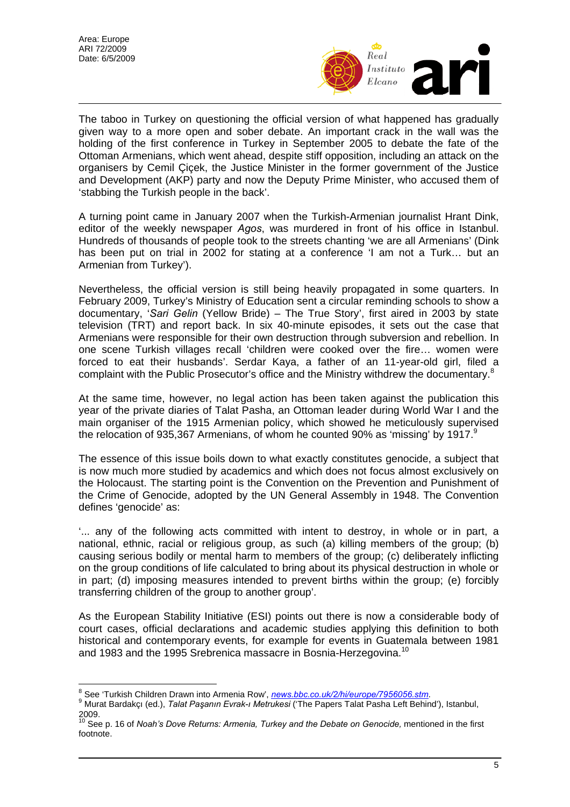

The taboo in Turkey on questioning the official version of what happened has gradually given way to a more open and sober debate. An important crack in the wall was the holding of the first conference in Turkey in September 2005 to debate the fate of the Ottoman Armenians, which went ahead, despite stiff opposition, including an attack on the organisers by Cemil Çiçek, the Justice Minister in the former government of the Justice and Development (AKP) party and now the Deputy Prime Minister, who accused them of 'stabbing the Turkish people in the back'.

A turning point came in January 2007 when the Turkish-Armenian journalist Hrant Dink, editor of the weekly newspaper *Agos*, was murdered in front of his office in Istanbul. Hundreds of thousands of people took to the streets chanting 'we are all Armenians' (Dink has been put on trial in 2002 for stating at a conference 'I am not a Turk... but an Armenian from Turkey').

Nevertheless, the official version is still being heavily propagated in some quarters. In February 2009, Turkey's Ministry of Education sent a circular reminding schools to show a documentary, '*Sari Gelin* (Yellow Bride) – The True Story', first aired in 2003 by state television (TRT) and report back. In six 40-minute episodes, it sets out the case that Armenians were responsible for their own destruction through subversion and rebellion. In one scene Turkish villages recall 'children were cooked over the fire… women were forced to eat their husbands'. Serdar Kaya, a father of an 11-year-old girl, filed a complaint with the Public Prosecutor's office and the Ministry withdrew the documentary.<sup>[8](#page-4-0)</sup>

At the same time, however, no legal action has been taken against the publication this year of the private diaries of Talat Pasha, an Ottoman leader during World War I and the main organiser of the 1915 Armenian policy, which showed he meticulously supervised the relocation of [9](#page-4-1)35,367 Armenians, of whom he counted 90% as 'missing' by 1917.<sup>9</sup>

The essence of this issue boils down to what exactly constitutes genocide, a subject that is now much more studied by academics and which does not focus almost exclusively on the Holocaust. The starting point is the Convention on the Prevention and Punishment of the Crime of Genocide, adopted by the UN General Assembly in 1948. The Convention defines 'genocide' as:

'... any of the following acts committed with intent to destroy, in whole or in part, a national, ethnic, racial or religious group, as such (a) killing members of the group; (b) causing serious bodily or mental harm to members of the group; (c) deliberately inflicting on the group conditions of life calculated to bring about its physical destruction in whole or in part; (d) imposing measures intended to prevent births within the group; (e) forcibly transferring children of the group to another group'.

As the European Stability Initiative (ESI) points out there is now a considerable body of court cases, official declarations and academic studies applying this definition to both historical and contemporary events, for example for events in Guatemala between 1981 and 1983 and the 1995 Srebrenica massacre in Bosnia-Herzegovina.<sup>[10](#page-4-2)</sup>

<sup>&</sup>lt;sup>8</sup><br>Bee 'Turkish Children Drawn into Armenia Row', *news.bbc.co.uk/2/hi/europe/7956056.stm.*<br>9 Murat Bardekau (ed.) - Telet Bassaun Furek u Metrukesi ('The Banere Telet Beebe Lett Bebing

<span id="page-4-1"></span><span id="page-4-0"></span>Murat Bardakçı (ed.), *Talat Paşanın Evrak-ı Metrukesi* ('The Papers Talat Pasha Left Behind'), Istanbul,

<span id="page-4-2"></span><sup>2009. 10</sup> See p. 16 of *Noah's Dove Returns: Armenia, Turkey and the Debate on Genocide,* mentioned in the first footnote.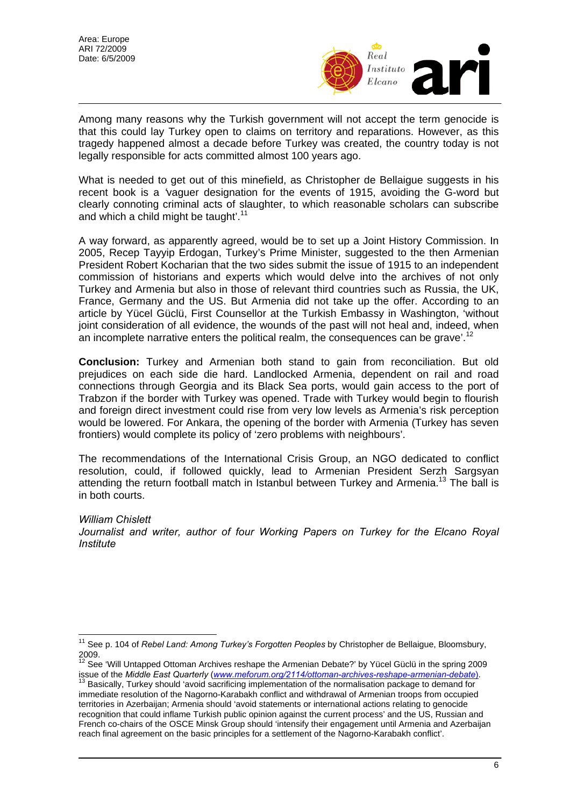

Among many reasons why the Turkish government will not accept the term genocide is that this could lay Turkey open to claims on territory and reparations. However, as this tragedy happened almost a decade before Turkey was created, the country today is not legally responsible for acts committed almost 100 years ago.

What is needed to get out of this minefield, as Christopher de Bellaigue suggests in his recent book is a *'*vaguer designation for the events of 1915, avoiding the G-word but clearly connoting criminal acts of slaughter, to which reasonable scholars can subscribe and which a child might be taught'.<sup>[11](#page-5-0)</sup>

A way forward, as apparently agreed, would be to set up a Joint History Commission. In 2005, Recep Tayyip Erdogan, Turkey's Prime Minister, suggested to the then Armenian President Robert Kocharian that the two sides submit the issue of 1915 to an independent commission of historians and experts which would delve into the archives of not only Turkey and Armenia but also in those of relevant third countries such as Russia, the UK, France, Germany and the US. But Armenia did not take up the offer. According to an article by Yücel Güclü, First Counsellor at the Turkish Embassy in Washington, 'without joint consideration of all evidence, the wounds of the past will not heal and, indeed, when an incomplete narrative enters the political realm, the consequences can be grave'.<sup>[12](#page-5-1)</sup>

**Conclusion:** Turkey and Armenian both stand to gain from reconciliation. But old prejudices on each side die hard. Landlocked Armenia, dependent on rail and road connections through Georgia and its Black Sea ports, would gain access to the port of Trabzon if the border with Turkey was opened. Trade with Turkey would begin to flourish and foreign direct investment could rise from very low levels as Armenia's risk perception would be lowered. For Ankara, the opening of the border with Armenia (Turkey has seven frontiers) would complete its policy of 'zero problems with neighbours'.

The recommendations of the International Crisis Group, an NGO dedicated to conflict resolution, could, if followed quickly, lead to Armenian President Serzh Sargsyan attending the return football match in Istanbul between Turkey and Armenia.<sup>13</sup> The ball is in both courts.

## *William Chislett*

Journalist and writer, author of four Working Papers on Turkey for the Elcano Royal *Institute* 

<span id="page-5-0"></span> $\overline{a}$ <sup>11</sup> See p. 104 of *Rebel Land: Among Turkey's Forgotten Peoples* by Christopher de Bellaigue, Bloomsbury, 2009.<br><sup>12</sup> See 'Will Untapped Ottoman Archives reshape the Armenian Debate?' by Yücel Güclü in the spring 2009

<span id="page-5-1"></span>issue of the *Middle East Quarterly* (*www.meforum.org/2114/ottoman-archives-reshape-armenian-debate*). <sup>13</sup> Basically, Turkey should 'avoid sacrificing implementation of the normalisation package to demand for

<span id="page-5-2"></span>immediate resolution of the Nagorno-Karabakh conflict and withdrawal of Armenian troops from occupied territories in Azerbaijan; Armenia should 'avoid statements or international actions relating to genocide recognition that could inflame Turkish public opinion against the current process' and the US, Russian and French co-chairs of the OSCE Minsk Group should 'intensify their engagement until Armenia and Azerbaijan reach final agreement on the basic principles for a settlement of the Nagorno-Karabakh conflict'.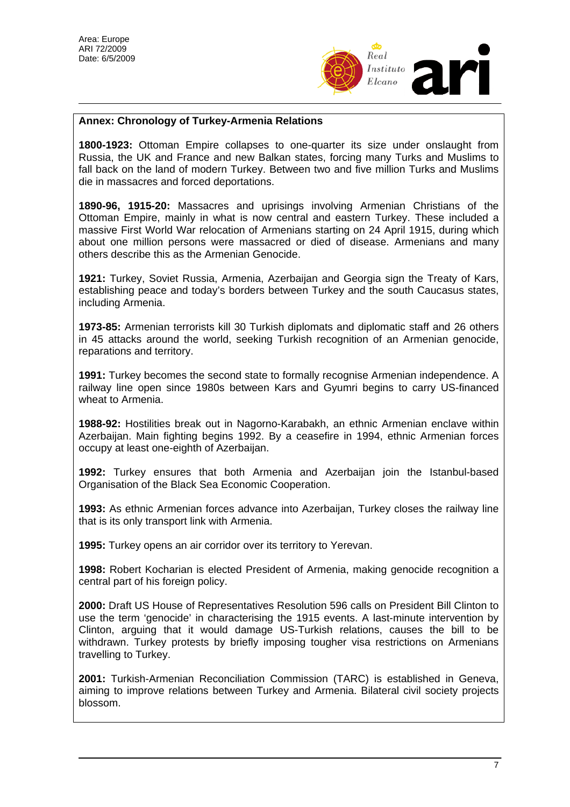

## **Annex: Chronology of Turkey-Armenia Relations**

**1800-1923:** Ottoman Empire collapses to one-quarter its size under onslaught from Russia, the UK and France and new Balkan states, forcing many Turks and Muslims to fall back on the land of modern Turkey. Between two and five million Turks and Muslims die in massacres and forced deportations.

**1890-96, 1915-20:** Massacres and uprisings involving Armenian Christians of the Ottoman Empire, mainly in what is now central and eastern Turkey. These included a massive First World War relocation of Armenians starting on 24 April 1915, during which about one million persons were massacred or died of disease. Armenians and many others describe this as the Armenian Genocide.

**1921:** Turkey, Soviet Russia, Armenia, Azerbaijan and Georgia sign the Treaty of Kars, establishing peace and today's borders between Turkey and the south Caucasus states, including Armenia.

**1973-85:** Armenian terrorists kill 30 Turkish diplomats and diplomatic staff and 26 others in 45 attacks around the world, seeking Turkish recognition of an Armenian genocide, reparations and territory.

**1991:** Turkey becomes the second state to formally recognise Armenian independence. A railway line open since 1980s between Kars and Gyumri begins to carry US-financed wheat to Armenia.

**1988-92:** Hostilities break out in Nagorno-Karabakh, an ethnic Armenian enclave within Azerbaijan. Main fighting begins 1992. By a ceasefire in 1994, ethnic Armenian forces occupy at least one-eighth of Azerbaijan.

**1992:** Turkey ensures that both Armenia and Azerbaijan join the Istanbul-based Organisation of the Black Sea Economic Cooperation.

**1993:** As ethnic Armenian forces advance into Azerbaijan, Turkey closes the railway line that is its only transport link with Armenia.

**1995:** Turkey opens an air corridor over its territory to Yerevan.

**1998:** Robert Kocharian is elected President of Armenia, making genocide recognition a central part of his foreign policy.

**2000:** Draft US House of Representatives Resolution 596 calls on President Bill Clinton to use the term 'genocide' in characterising the 1915 events. A last-minute intervention by Clinton, arguing that it would damage US-Turkish relations, causes the bill to be withdrawn. Turkey protests by briefly imposing tougher visa restrictions on Armenians travelling to Turkey.

**2001:** Turkish-Armenian Reconciliation Commission (TARC) is established in Geneva, aiming to improve relations between Turkey and Armenia. Bilateral civil society projects blossom.